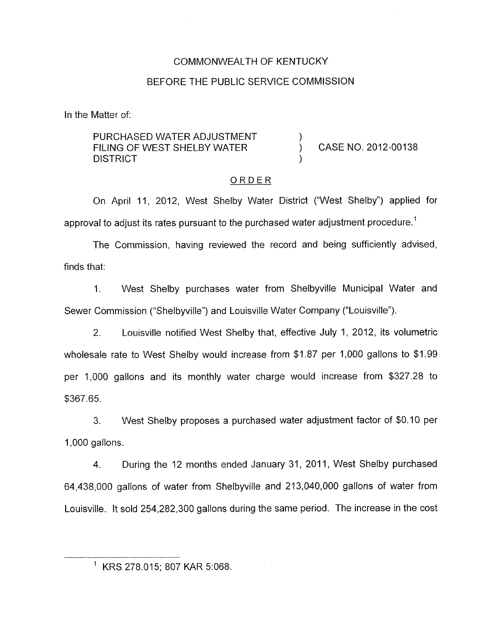# COMMONWEALTH OF KENTUCKY

# BEFORE THE PUBLIC SERVICE COMMISSION

In the Matter of:

PURCHASED WATER ADJUSTMENT  $\qquad \qquad$ )<br>FILING OF WEST SHELBY WATER  $\qquad \qquad$ FILING OF WEST SHELBY WATER  $(3.012 - 0.012 - 0.0138)$ **DISTRICT** 

# ORDER

On April 11, 2012, West Shelby Water District ("West Shelby") applied for approval to adjust its rates pursuant to the purchased water adjustment procedure.<sup>1</sup>

The Commission, having reviewed the record and being sufficiently advised, finds that:

1. West Shelby purchases water from Shelbyville Municipal Water and Sewer Commission ("Shelbyville") and Louisville Water Company ("Louisville").

2. Louisville notified West Shelby that, effective July 1, 2012, its volumetric wholesale rate to West Shelby would increase from \$1.87 per 1,000 gallons to \$1.99 per 1,000 gallons and its monthly water charge would increase from \$327.28 to \$367.65.

3. West Shelby proposes a purchased water adjustment factor of \$0.10 per 1,000 gallons.

4. During the 12 months ended January 31, 2011, West Shelby purchased 64,438,000 gallons of water from Shelbyville and 213,040,000 gallons of water from Louisville. It sold 254,282,300 gallons during the same period. The increase in the cost

' KRS 278.015; 807 KAR 5:068.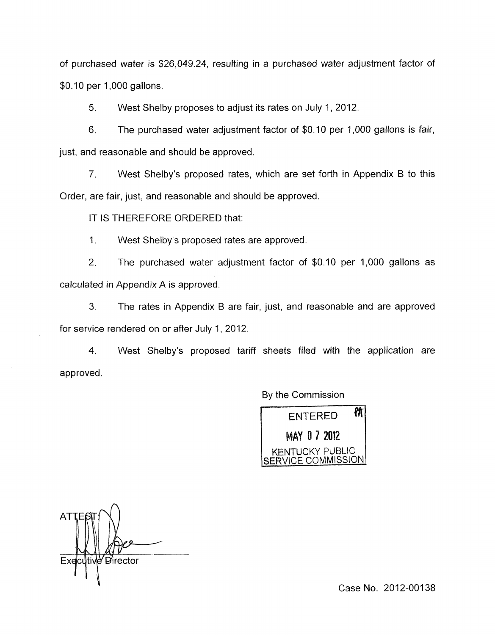of purchased water is \$26,049.24, resulting in a purchased water adjustment factor of \$0.10 per 1,000 gallons.

5. West Shelby proposes to adjust its rates on July 1, 2012.

6. The purchased water adjustment factor of \$0.10 per 1,000 gallons is fair, just, and reasonable and should be approved.

*7.* West Shelby's proposed rates, which are set forth in Appendix B to this Order, are fair, just, and reasonable and should be approved.

IT IS THEREFORE ORDERED that:

I. West Shelby's proposed rates are approved.

*2.* The purchased water adjustment factor of \$0.10 per 1,000 gallons as calculated in Appendix A is approved.

**3.** The rates in Appendix B are fair, just, and reasonable and are approved for service rendered on or after July 1,2012.

4. West Shelby's proposed tariff sheets filed with the application are approved.

By the Commission



AT Executive Director

Case No. 2012-00138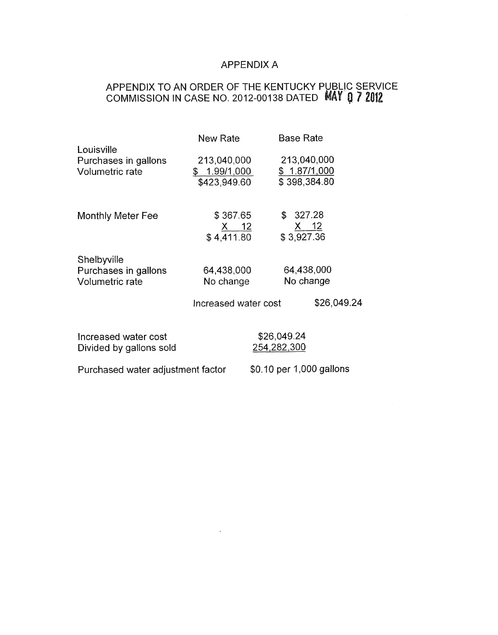# APPENDIX A

# APPENDIX TO AN ORDER OF THE KENTUCKY PUBLIC SERVICE COMMISSION IN CASE NO. 2012-00138 DATED

|                                                              | New Rate                                    | <b>Base Rate</b>                            |  |
|--------------------------------------------------------------|---------------------------------------------|---------------------------------------------|--|
| Louisville<br>Purchases in gallons<br><b>Volumetric rate</b> | 213,040,000<br>\$1.99/1,000<br>\$423,949.60 | 213,040,000<br>\$1.87/1,000<br>\$398,384.80 |  |
| <b>Monthly Meter Fee</b>                                     | \$367.65<br><u>X 12</u><br>\$4,411.80       | \$327.28<br><u>X 12</u><br>\$3,927.36       |  |
| Shelbyville<br>Purchases in gallons<br>Volumetric rate       | 64,438,000<br>No change                     | 64,438,000<br>No change                     |  |
|                                                              | Increased water cost                        | \$26,049.24                                 |  |
| Increased water cost<br>Divided by gallons sold              |                                             | \$26,049.24<br>254,282,300                  |  |
| Purchased water adjustment factor                            |                                             | \$0.10 per 1,000 gallons                    |  |

 $\mathcal{L}(\mathcal{A})$  and  $\mathcal{L}(\mathcal{A})$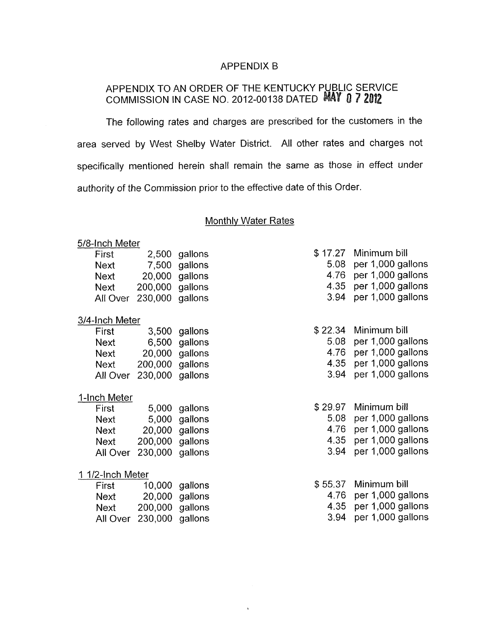### APPENDIX B

# APPENDIX TO AN ORDER OF THE KENTUCKY PUBLIC SERVICE COMMISSION IN CASE NO. 2012-00138 DATED

The following rates and charges are prescribed for the customers in the area served by West Shelby Water District. All other rates and charges not specifically mentioned herein shall remain the same as those in effect under authority of the Commission prior to the effective date of this Order

#### **Monthly Water Rates**

 $\ddot{\phantom{0}}$ 

#### 5/8-Inch Meter

| First       |                 | 2,500 gallons  |
|-------------|-----------------|----------------|
| <b>Next</b> |                 | 7,500 gallons  |
| <b>Next</b> |                 | 20,000 gallons |
| <b>Next</b> | 200,000 gallons |                |
| All Over    | 230,000 gallons |                |
|             |                 |                |

# 3/4-lnch Meter

| First    |                 | 3,500 gallons  |
|----------|-----------------|----------------|
| Next     |                 | 6,500 gallons  |
| Next     |                 | 20,000 gallons |
| Next     | 200,000 gallons |                |
| All Over | 230,000 gallons |                |

# I-Inch Meter

| First    |                 | 5,000 gallons  |
|----------|-----------------|----------------|
| Next     |                 | 5,000 gallons  |
| Next     |                 | 20,000 gallons |
| Next     | 200,000 gallons |                |
| All Over | 230,000 gallons |                |

#### 1 1/2-Inch Meter

| First |                          | 10,000 gallons |
|-------|--------------------------|----------------|
| Next  |                          | 20,000 gallons |
| Next  | 200,000 gallons          |                |
|       | All Over 230,000 gallons |                |

| \$17.27 Minimum bill   |
|------------------------|
| 5.08 per 1,000 gallons |
| 4.76 per 1,000 gallons |
| 4.35 per 1,000 gallons |
| 3.94 per 1,000 gallons |

|      | \$22.34 Minimum bill   |
|------|------------------------|
|      | 5.08 per 1,000 gallons |
|      | 4.76 per 1,000 gallons |
|      | 4.35 per 1,000 gallons |
| 3.94 | per 1,000 gallons      |

|      | \$29.97 Minimum bill   |
|------|------------------------|
|      | 5.08 per 1,000 gallons |
|      | 4.76 per 1,000 gallons |
| 4.35 | per 1,000 gallons      |
| 3.94 | per 1,000 gallons      |

| \$ 55.37 Minimum bill  |
|------------------------|
| 4.76 per 1,000 gallons |
| 4.35 per 1,000 gallons |
| 3.94 per 1,000 gallons |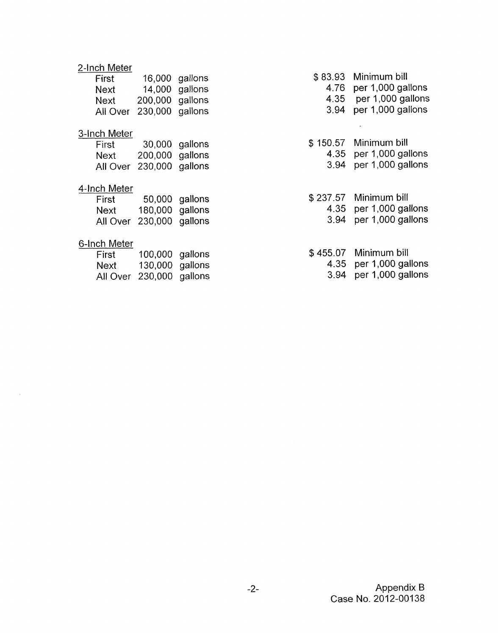# 2-Inch Meter

| First    |                   | 16,000 gallons |
|----------|-------------------|----------------|
| Next     |                   | 14,000 gallons |
| Next     | 200,000 gallons   |                |
| All Over | $230,000$ gallons |                |

# 3-Inch Meter

| First |                          | 30,000 gallons |
|-------|--------------------------|----------------|
| Next  | 200,000 gallons          |                |
|       | All Over 230,000 gallons |                |

# 4-Inch Meter

| First    |                 | 50,000 gallons |
|----------|-----------------|----------------|
| Next     | 180,000 gallons |                |
| All Over | 230,000 gallons |                |

## 6-Inch Meter

| First | 100,000 gallons          |  |
|-------|--------------------------|--|
| Next  | 130,000 gallons          |  |
|       | All Over 230,000 gallons |  |

\$ 83.93 Minimum bill

 $\overline{a}$ 

- 4.76 per 1,000 gallons
- 4.35 per 1,000 gallons
- 3.94 per 1,000 gallons
- \$ 150.57 Minimum bill 4.35 per 1,000 gallons 3.94 per 1,000 gallons

\$ 237.57 Minimum bill 4.35 per 1,000 gallons

- 3.94 per 1,000 gallons
- \$455.07 Minimum bill 4.35 per 1,000 gallons 3.94 per 1,000 gallons